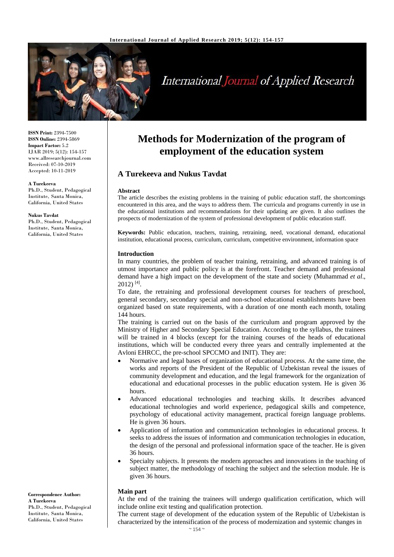

# **International Journal of Applied Research**

**ISSN Print:** 2394-7500 **ISSN Online:** 2394-5869 **Impact Factor:** 5.2 IJAR 2019; 5(12): 154-157 www.allresearchjournal.com Received: 07-10-2019 Accepted: 10-11-2019

#### **A Turekeeva**

Ph.D., Student, Pedagogical Institute, Santa Monica, California, United States

#### **Nukus Tavdat**

Ph.D., Student, Pedagogical Institute, Santa Monica, California, United States

#### **Correspondence Author: A Turekeeva** Ph.D., Student, Pedagogical Institute, Santa Monica, California, United States

## **Methods for Modernization of the program of employment of the education system**

## **A Turekeeva and Nukus Tavdat**

#### **Abstract**

The article describes the existing problems in the training of public education staff, the shortcomings encountered in this area, and the ways to address them. The curricula and programs currently in use in the educational institutions and recommendations for their updating are given. It also outlines the prospects of modernization of the system of professional development of public education staff.

**Keywords:** Public education, teachers, training, retraining, need, vocational demand, educational institution, educational process, curriculum, curriculum, competitive environment, information space

#### **Introduction**

In many countries, the problem of teacher training, retraining, and advanced training is of utmost importance and public policy is at the forefront. Teacher demand and professional demand have a high impact on the development of the state and society (Muhammad *et al*., 2012) [4] .

To date, the retraining and professional development courses for teachers of preschool, general secondary, secondary special and non-school educational establishments have been organized based on state requirements, with a duration of one month each month, totaling 144 hours.

The training is carried out on the basis of the curriculum and program approved by the Ministry of Higher and Secondary Special Education. According to the syllabus, the trainees will be trained in 4 blocks (except for the training courses of the heads of educational institutions, which will be conducted every three years and centrally implemented at the Avloni EHRCC, the pre-school SPCCMO and INIT). They are:

- Normative and legal bases of organization of educational process. At the same time, the works and reports of the President of the Republic of Uzbekistan reveal the issues of community development and education, and the legal framework for the organization of educational and educational processes in the public education system. He is given 36 hours.
- Advanced educational technologies and teaching skills. It describes advanced educational technologies and world experience, pedagogical skills and competence, psychology of educational activity management, practical foreign language problems. He is given 36 hours.
- Application of information and communication technologies in educational process. It seeks to address the issues of information and communication technologies in education, the design of the personal and professional information space of the teacher. He is given 36 hours.
- Specialty subjects. It presents the modern approaches and innovations in the teaching of subject matter, the methodology of teaching the subject and the selection module. He is given 36 hours.

#### **Main part**

At the end of the training the trainees will undergo qualification certification, which will include online exit testing and qualification protection.

The current stage of development of the education system of the Republic of Uzbekistan is characterized by the intensification of the process of modernization and systemic changes in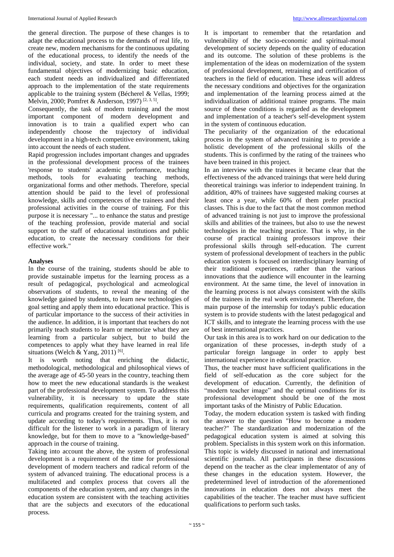the general direction. The purpose of these changes is to adapt the educational process to the demands of real life, to create new, modern mechanisms for the continuous updating of the educational process, to identify the needs of the individual, society, and state. In order to meet these fundamental objectives of modernizing basic education, each student needs an individualized and differentiated approach to the implementation of the state requirements applicable to the training system (Bécherel & Vellas, 1999; Melvin, 2000; Pomfret & Anderson, 1997)<sup>[2, 3, 5]</sup>.

Consequently, the task of modern training and the most important component of modern development and innovation is to train a qualified expert who can independently choose the trajectory of individual development in a high-tech competitive environment, taking into account the needs of each student.

Rapid progression includes important changes and upgrades in the professional development process of the trainees 'response to students' academic performance, teaching methods, tools for evaluating teaching methods, organizational forms and other methods. Therefore, special attention should be paid to the level of professional knowledge, skills and competences of the trainees and their professional activities in the course of training. For this purpose it is necessary "... to enhance the status and prestige of the teaching profession, provide material and social support to the staff of educational institutions and public education, to create the necessary conditions for their effective work."

#### **Analyses**

In the course of the training, students should be able to provide sustainable impetus for the learning process as a result of pedagogical, psychological and acmeological observations of students, to reveal the meaning of the knowledge gained by students, to learn new technologies of goal setting and apply them into educational practice. This is of particular importance to the success of their activities in the audience. In addition, it is important that teachers do not primarily teach students to learn or memorize what they are learning from a particular subject, but to build the competences to apply what they have learned in real life situations (Welch & Yang, 2011)<sup>[6]</sup>.

It is worth noting that enriching the didactic, methodological, methodological and philosophical views of the average age of 45-50 years in the country, teaching them how to meet the new educational standards is the weakest part of the professional development system. To address this vulnerability, it is necessary to update the state requirements, qualification requirements, content of all curricula and programs created for the training system, and update according to today's requirements. Thus, it is not difficult for the listener to work in a paradigm of literary knowledge, but for them to move to a "knowledge-based" approach in the course of training.

Taking into account the above, the system of professional development is a requirement of the time for professional development of modern teachers and radical reform of the system of advanced training. The educational process is a multifaceted and complex process that covers all the components of the education system, and any changes in the education system are consistent with the teaching activities that are the subjects and executors of the educational process.

It is important to remember that the retardation and vulnerability of the socio-economic and spiritual-moral development of society depends on the quality of education and its outcome. The solution of these problems is the implementation of the ideas on modernization of the system of professional development, retraining and certification of teachers in the field of education. These ideas will address the necessary conditions and objectives for the organization and implementation of the learning process aimed at the individualization of additional trainee programs. The main source of these conditions is regarded as the development and implementation of a teacher's self-development system in the system of continuous education.

The peculiarity of the organization of the educational process in the system of advanced training is to provide a holistic development of the professional skills of the students. This is confirmed by the rating of the trainees who have been trained in this project.

In an interview with the trainees it became clear that the effectiveness of the advanced trainings that were held during theoretical trainings was inferior to independent training. In addition, 40% of trainees have suggested making courses at least once a year, while 60% of them prefer practical classes. This is due to the fact that the most common method of advanced training is not just to improve the professional skills and abilities of the trainees, but also to use the newest technologies in the teaching practice. That is why, in the course of practical training professors improve their professional skills through self-education. The current system of professional development of teachers in the public education system is focused on interdisciplinary learning of their traditional experiences, rather than the various innovations that the audience will encounter in the learning environment. At the same time, the level of innovation in the learning process is not always consistent with the skills of the trainees in the real work environment. Therefore, the main purpose of the internship for today's public education system is to provide students with the latest pedagogical and ICT skills, and to integrate the learning process with the use of best international practices.

Our task in this area is to work hard on our dedication to the organization of these processes, in-depth study of a particular foreign language in order to apply best international experience in educational practice.

Thus, the teacher must have sufficient qualifications in the field of self-education as the core subject for the development of education. Currently, the definition of "modern teacher image" and the optimal conditions for its professional development should be one of the most important tasks of the Ministry of Public Education.

Today, the modern education system is tasked with finding the answer to the question "How to become a modern teacher?" The standardization and modernization of the pedagogical education system is aimed at solving this problem. Specialists in this system work on this information. This topic is widely discussed in national and international scientific journals. All participants in these discussions depend on the teacher as the clear implementator of any of these changes in the education system. However, the predetermined level of introduction of the aforementioned innovations in education does not always meet the capabilities of the teacher. The teacher must have sufficient qualifications to perform such tasks.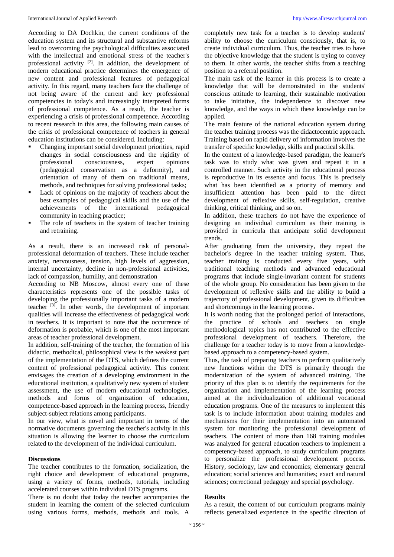According to DA Dochkin, the current conditions of the education system and its structural and substantive reforms lead to overcoming the psychological difficulties associated with the intellectual and emotional stress of the teacher's professional activity [2]. In addition, the development of modern educational practice determines the emergence of new content and professional features of pedagogical activity. In this regard, many teachers face the challenge of not being aware of the current and key professional competencies in today's and increasingly interpreted forms of professional competence. As a result, the teacher is experiencing a crisis of professional competence. According to recent research in this area, the following main causes of the crisis of professional competence of teachers in general education institutions can be considered. Including:

- Changing important social development priorities, rapid changes in social consciousness and the rigidity of professional consciousness, expert opinions (pedagogical conservatism as a deformity), and orientation of many of them on traditional means, methods, and techniques for solving professional tasks;
- Lack of opinions on the majority of teachers about the best examples of pedagogical skills and the use of the achievements of the international pedagogical community in teaching practice;
- The role of teachers in the system of teacher training and retraining.

As a result, there is an increased risk of personalprofessional deformation of teachers. These include teacher anxiety, nervousness, tension, high levels of aggression, internal uncertainty, decline in non-professional activities, lack of compassion, humility, and demonstration

According to NB Moscow, almost every one of these characteristics represents one of the possible tasks of developing the professionally important tasks of a modern teacher [3]. In other words, the development of important qualities will increase the effectiveness of pedagogical work in teachers. It is important to note that the occurrence of deformation is probable, which is one of the most important areas of teacher professional development.

In addition, self-training of the teacher, the formation of his didactic, methodical, philosophical view is the weakest part of the implementation of the DTS, which defines the current content of professional pedagogical activity. This content envisages the creation of a developing environment in the educational institution, a qualitatively new system of student assessment, the use of modern educational technologies, methods and forms of organization of education, competence-based approach in the learning process, friendly subject-subject relations among participants.

In our view, what is novel and important in terms of the normative documents governing the teacher's activity in this situation is allowing the learner to choose the curriculum related to the development of the individual curriculum.

#### **Discussions**

The teacher contributes to the formation, socialization, the right choice and development of educational programs, using a variety of forms, methods, tutorials, including accelerated courses within individual DTS programs.

There is no doubt that today the teacher accompanies the student in learning the content of the selected curriculum using various forms, methods, methods and tools. A

completely new task for a teacher is to develop students' ability to choose the curriculum consciously, that is, to create individual curriculum. Thus, the teacher tries to have the objective knowledge that the student is trying to convey to them. In other words, the teacher shifts from a teaching position to a referral position.

The main task of the learner in this process is to create a knowledge that will be demonstrated in the students' conscious attitude to learning, their sustainable motivation to take initiative, the independence to discover new knowledge, and the ways in which these knowledge can be applied.

The main feature of the national education system during the teacher training process was the didactocentric approach. Training based on rapid delivery of information involves the transfer of specific knowledge, skills and practical skills.

In the context of a knowledge-based paradigm, the learner's task was to study what was given and repeat it in a controlled manner. Such activity in the educational process is reproductive in its essence and focus. This is precisely what has been identified as a priority of memory and insufficient attention has been paid to the direct development of reflexive skills, self-regulation, creative thinking, critical thinking, and so on.

In addition, these teachers do not have the experience of designing an individual curriculum as their training is provided in curricula that anticipate solid development trends.

After graduating from the university, they repeat the bachelor's degree in the teacher training system. Thus, teacher training is conducted every five years, with traditional teaching methods and advanced educational programs that include single-invariant content for students of the whole group. No consideration has been given to the development of reflexive skills and the ability to build a trajectory of professional development, given its difficulties and shortcomings in the learning process.

It is worth noting that the prolonged period of interactions, the practice of schools and teachers on single methodological topics has not contributed to the effective professional development of teachers. Therefore, the challenge for a teacher today is to move from a knowledgebased approach to a competency-based system.

Thus, the task of preparing teachers to perform qualitatively new functions within the DTS is primarily through the modernization of the system of advanced training. The priority of this plan is to identify the requirements for the organization and implementation of the learning process aimed at the individualization of additional vocational education programs. One of the measures to implement this task is to include information about training modules and mechanisms for their implementation into an automated system for monitoring the professional development of teachers. The content of more than 168 training modules was analyzed for general education teachers to implement a competency-based approach, to study curriculum programs to personalize the professional development process. History, sociology, law and economics; elementary general education; social sciences and humanities; exact and natural sciences; correctional pedagogy and special psychology.

#### **Results**

As a result, the content of our curriculum programs mainly reflects generalized experience in the specific direction of